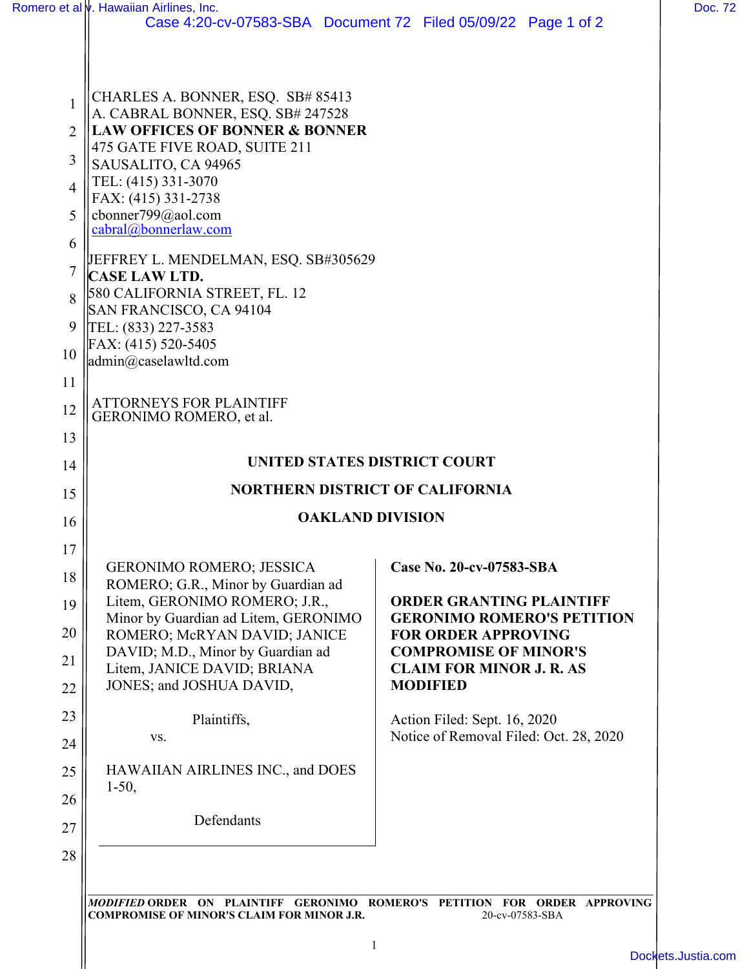|                | Romero et al <i>v</i> . Hawaiian Airlines, Inc.                                |                                                            |
|----------------|--------------------------------------------------------------------------------|------------------------------------------------------------|
|                | Case 4:20-cv-07583-SBA Document 72 Filed 05/09/22 Page 1 of 2                  |                                                            |
|                | CHARLES A. BONNER, ESQ. SB# 85413                                              |                                                            |
| 1              | A. CABRAL BONNER, ESQ. SB# 247528<br><b>LAW OFFICES OF BONNER &amp; BONNER</b> |                                                            |
| 2              | 475 GATE FIVE ROAD, SUITE 211                                                  |                                                            |
| 3              | SAUSALITO, CA 94965                                                            |                                                            |
| $\overline{4}$ | TEL: (415) 331-3070<br>FAX: (415) 331-2738                                     |                                                            |
| 5              | cbonner799@aol.com                                                             |                                                            |
| 6              | cabral@bonnerlaw.com                                                           |                                                            |
| 7              | JEFFREY L. MENDELMAN, ESQ. SB#305629<br><b>CASE LAW LTD.</b>                   |                                                            |
| 8              | 580 CALIFORNIA STREET, FL. 12                                                  |                                                            |
|                | SAN FRANCISCO, CA 94104                                                        |                                                            |
| 9              | TEL: (833) 227-3583<br>FAX: (415) 520-5405                                     |                                                            |
| 10             | $\alpha$ <sup>2</sup> caselawltd.com                                           |                                                            |
| 11             |                                                                                |                                                            |
| 12             | <b>ATTORNEYS FOR PLAINTIFF</b><br>GERONIMO ROMERO, et al.                      |                                                            |
| 13             |                                                                                |                                                            |
| 14             | <b>UNITED STATES DISTRICT COURT</b>                                            |                                                            |
| 15             | <b>NORTHERN DISTRICT OF CALIFORNIA</b>                                         |                                                            |
| 16             | <b>OAKLAND DIVISION</b>                                                        |                                                            |
| 17             |                                                                                |                                                            |
| 18             | <b>GERONIMO ROMERO; JESSICA</b>                                                | Case No. 20-cv-07583-SBA                                   |
| 19             | ROMERO; G.R., Minor by Guardian ad<br>Litem, GERONIMO ROMERO; J.R.,            | <b>ORDER GRANTING PLAINTIFF</b>                            |
|                | Minor by Guardian ad Litem, GERONIMO                                           | <b>GERONIMO ROMERO'S PETITION</b>                          |
| 20             | ROMERO; McRYAN DAVID; JANICE<br>DAVID; M.D., Minor by Guardian ad              | <b>FOR ORDER APPROVING</b><br><b>COMPROMISE OF MINOR'S</b> |
| 21             | Litem, JANICE DAVID; BRIANA                                                    | <b>CLAIM FOR MINOR J. R. AS</b>                            |
| 22             | JONES; and JOSHUA DAVID,                                                       | <b>MODIFIED</b>                                            |
| 23             | Plaintiffs,                                                                    | Action Filed: Sept. 16, 2020                               |
| 24             | VS.                                                                            | Notice of Removal Filed: Oct. 28, 2020                     |
| 25             | HAWAIIAN AIRLINES INC., and DOES                                               |                                                            |
| 26             | $1-50,$                                                                        |                                                            |
|                | Defendants                                                                     |                                                            |
| 27             |                                                                                |                                                            |
|                |                                                                                |                                                            |